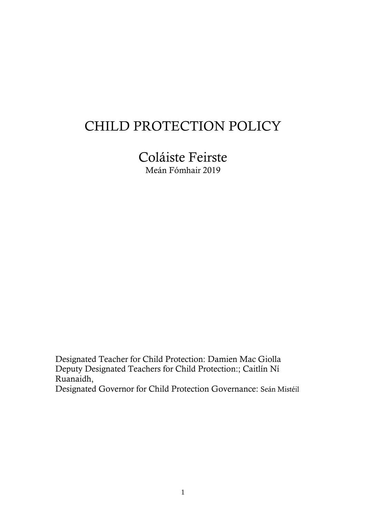# CHILD PROTECTION POLICY

Coláiste Feirste Meán Fómhair 2019

Designated Teacher for Child Protection: Damien Mac Giolla Deputy Designated Teachers for Child Protection:; Caitlín Ní Ruanaidh, Designated Governor for Child Protection Governance: Seán Mistéil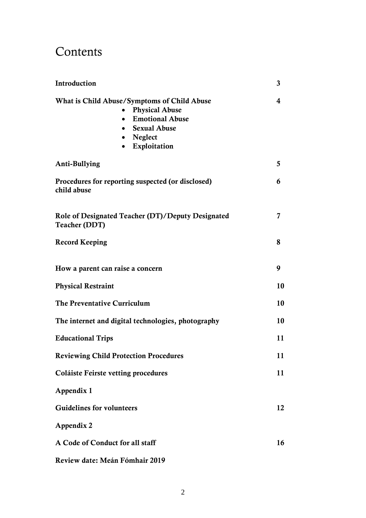## Contents

| Introduction                                                                                                                                                    | 3  |
|-----------------------------------------------------------------------------------------------------------------------------------------------------------------|----|
| What is Child Abuse/Symptoms of Child Abuse<br><b>Physical Abuse</b><br><b>Emotional Abuse</b><br><b>Sexual Abuse</b><br>• Neglect<br>Exploitation<br>$\bullet$ | 4  |
| Anti-Bullying                                                                                                                                                   | 5  |
| Procedures for reporting suspected (or disclosed)<br>child abuse                                                                                                | 6  |
| Role of Designated Teacher (DT)/Deputy Designated<br><b>Teacher (DDT)</b>                                                                                       | 7  |
| <b>Record Keeping</b>                                                                                                                                           | 8  |
| How a parent can raise a concern                                                                                                                                | 9  |
| <b>Physical Restraint</b>                                                                                                                                       | 10 |
| The Preventative Curriculum                                                                                                                                     | 10 |
| The internet and digital technologies, photography                                                                                                              | 10 |
| <b>Educational Trips</b>                                                                                                                                        | 11 |
| <b>Reviewing Child Protection Procedures</b>                                                                                                                    | 11 |
| Coláiste Feirste vetting procedures                                                                                                                             | 11 |
| Appendix 1                                                                                                                                                      |    |
| <b>Guidelines for volunteers</b>                                                                                                                                | 12 |
| Appendix 2                                                                                                                                                      |    |
| A Code of Conduct for all staff                                                                                                                                 | 16 |
| Review date: Meán Fómhair 2019                                                                                                                                  |    |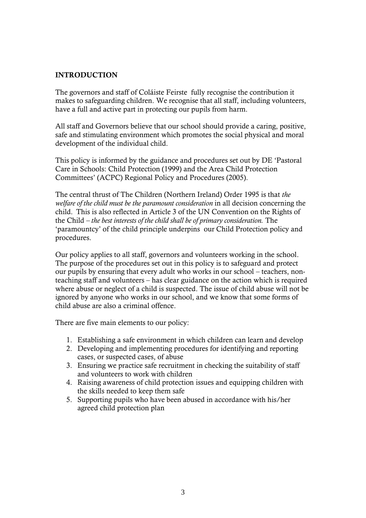#### INTRODUCTION

The governors and staff of Coláiste Feirste fully recognise the contribution it makes to safeguarding children. We recognise that all staff, including volunteers, have a full and active part in protecting our pupils from harm.

All staff and Governors believe that our school should provide a caring, positive, safe and stimulating environment which promotes the social physical and moral development of the individual child.

This policy is informed by the guidance and procedures set out by DE 'Pastoral Care in Schools: Child Protection (1999) and the Area Child Protection Committees' (ACPC) Regional Policy and Procedures (2005).

The central thrust of The Children (Northern Ireland) Order 1995 is that *the welfare of the child must be the paramount consideration* in all decision concerning the child.This is also reflected in Article 3 of the UN Convention on the Rights of the Child *– the best interests of the child shall be of primary consideration.* The 'paramountcy' of the child principle underpins our Child Protection policy and procedures.

Our policy applies to all staff, governors and volunteers working in the school. The purpose of the procedures set out in this policy is to safeguard and protect our pupils by ensuring that every adult who works in our school – teachers, nonteaching staff and volunteers – has clear guidance on the action which is required where abuse or neglect of a child is suspected. The issue of child abuse will not be ignored by anyone who works in our school, and we know that some forms of child abuse are also a criminal offence.

There are five main elements to our policy:

- 1. Establishing a safe environment in which children can learn and develop
- 2. Developing and implementing procedures for identifying and reporting cases, or suspected cases, of abuse
- 3. Ensuring we practice safe recruitment in checking the suitability of staff and volunteers to work with children
- 4. Raising awareness of child protection issues and equipping children with the skills needed to keep them safe
- 5. Supporting pupils who have been abused in accordance with his/her agreed child protection plan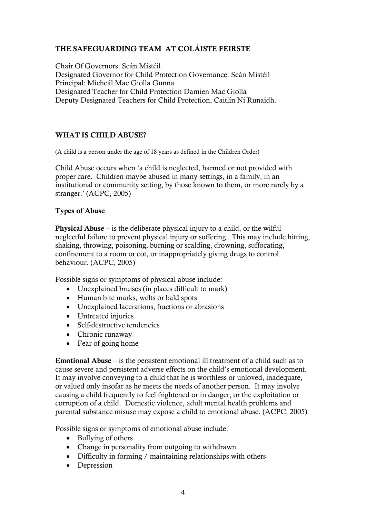## THE SAFEGUARDING TEAM AT COLÁISTE FEIRSTE

Chair Of Governors: Seán Mistéil Designated Governor for Child Protection Governance: Seán Mistéil Principal: Mícheál Mac Giolla Gunna Designated Teacher for Child Protection Damien Mac Giolla Deputy Designated Teachers for Child Protection, Caitlín Ní Runaidh.

#### WHAT IS CHILD ABUSE?

(A child is a person under the age of 18 years as defined in the Children Order)

Child Abuse occurs when 'a child is neglected, harmed or not provided with proper care. Children maybe abused in many settings, in a family, in an institutional or community setting, by those known to them, or more rarely by a stranger.' (ACPC, 2005)

#### Types of Abuse

Physical Abuse – is the deliberate physical injury to a child, or the wilful neglectful failure to prevent physical injury or suffering. This may include hitting, shaking, throwing, poisoning, burning or scalding, drowning, suffocating, confinement to a room or cot, or inappropriately giving drugs to control behaviour. (ACPC, 2005)

Possible signs or symptoms of physical abuse include:

- Unexplained bruises (in places difficult to mark)
- Human bite marks, welts or bald spots
- Unexplained lacerations, fractions or abrasions
- Untreated injuries
- Self-destructive tendencies
- Chronic runaway
- Fear of going home

Emotional Abuse – is the persistent emotional ill treatment of a child such as to cause severe and persistent adverse effects on the child's emotional development. It may involve conveying to a child that he is worthless or unloved, inadequate, or valued only insofar as he meets the needs of another person. It may involve causing a child frequently to feel frightened or in danger, or the exploitation or corruption of a child. Domestic violence, adult mental health problems and parental substance misuse may expose a child to emotional abuse. (ACPC, 2005)

Possible signs or symptoms of emotional abuse include:

- Bullying of others
- Change in personality from outgoing to withdrawn
- Difficulty in forming / maintaining relationships with others
- Depression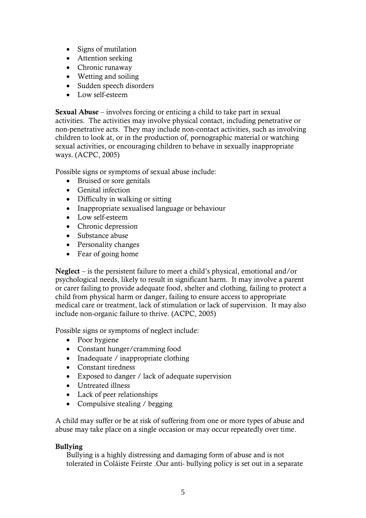- Signs of mutilation
- Attention seeking
- Chronic runaway
- Wetting and soiling
- Sudden speech disorders
- Low self-esteem

Sexual Abuse – involves forcing or enticing a child to take part in sexual activities. The activities may involve physical contact, including penetrative or non-penetrative acts. They may include non-contact activities, such as involving children to look at, or in the production of, pornographic material or watching sexual activities, or encouraging children to behave in sexually inappropriate ways. (ACPC, 2005)

Possible signs or symptoms of sexual abuse include:

- Bruised or sore genitals
- Genital infection
- Difficulty in walking or sitting
- Inappropriate sexualised language or behaviour
- Low self-esteem
- Chronic depression
- Substance abuse
- Personality changes
- Fear of going home

Neglect – is the persistent failure to meet a child's physical, emotional and/or psychological needs, likely to result in significant harm. It may involve a parent or carer failing to provide adequate food, shelter and clothing, failing to protect a child from physical harm or danger, failing to ensure access to appropriate medical care or treatment, lack of stimulation or lack of supervision. It may also include non-organic failure to thrive. (ACPC, 2005)

Possible signs or symptoms of neglect include:

- Poor hygiene
- Constant hunger/cramming food
- Inadequate / inappropriate clothing
- Constant tiredness
- Exposed to danger / lack of adequate supervision
- Untreated illness
- Lack of peer relationships
- Compulsive stealing / begging

A child may suffer or be at risk of suffering from one or more types of abuse and abuse may take place on a single occasion or may occur repeatedly over time.

#### Bullying

Bullying is a highly distressing and damaging form of abuse and is not tolerated in Coláiste Feirste .Our anti- bullying policy is set out in a separate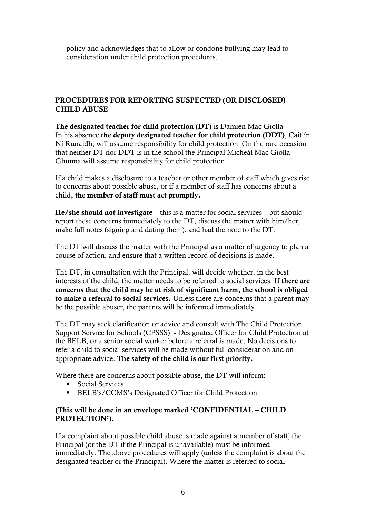policy and acknowledges that to allow or condone bullying may lead to consideration under child protection procedures.

#### PROCEDURES FOR REPORTING SUSPECTED (OR DISCLOSED) CHILD ABUSE

The designated teacher for child protection (DT) is Damien Mac Giolla In his absence the deputy designated teacher for child protection (DDT), Caitlín Ní Runaidh, will assume responsibility for child protection. On the rare occasion that neither DT nor DDT is in the school the Principal Micheál Mac Giolla Ghunna will assume responsibility for child protection.

If a child makes a disclosure to a teacher or other member of staff which gives rise to concerns about possible abuse, or if a member of staff has concerns about a child, the member of staff must act promptly.

He/she should not investigate – this is a matter for social services – but should report these concerns immediately to the DT, discuss the matter with him/her, make full notes (signing and dating them), and had the note to the DT.

The DT will discuss the matter with the Principal as a matter of urgency to plan a course of action, and ensure that a written record of decisions is made.

The DT, in consultation with the Principal, will decide whether, in the best interests of the child, the matter needs to be referred to social services. If there are concerns that the child may be at risk of significant harm, the school is obliged to make a referral to social services. Unless there are concerns that a parent may be the possible abuser, the parents will be informed immediately.

The DT may seek clarification or advice and consult with The Child Protection Support Service for Schools (CPSSS) - Designated Officer for Child Protection at the BELB, or a senior social worker before a referral is made. No decisions to refer a child to social services will be made without full consideration and on appropriate advice. The safety of the child is our first priority.

Where there are concerns about possible abuse, the DT will inform:

- Social Services
- **ELB's/CCMS's Designated Officer for Child Protection**

#### (This will be done in an envelope marked 'CONFIDENTIAL – CHILD PROTECTION').

If a complaint about possible child abuse is made against a member of staff, the Principal (or the DT if the Principal is unavailable) must be informed immediately. The above procedures will apply (unless the complaint is about the designated teacher or the Principal). Where the matter is referred to social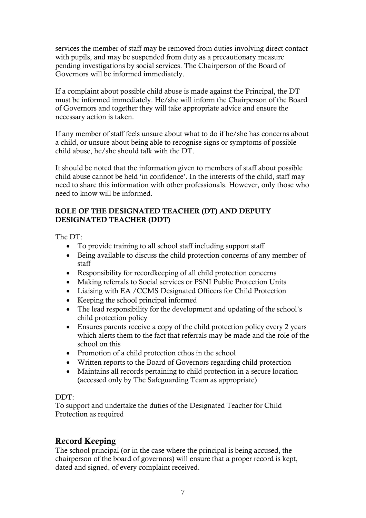services the member of staff may be removed from duties involving direct contact with pupils, and may be suspended from duty as a precautionary measure pending investigations by social services. The Chairperson of the Board of Governors will be informed immediately.

If a complaint about possible child abuse is made against the Principal, the DT must be informed immediately. He/she will inform the Chairperson of the Board of Governors and together they will take appropriate advice and ensure the necessary action is taken.

If any member of staff feels unsure about what to do if he/she has concerns about a child, or unsure about being able to recognise signs or symptoms of possible child abuse, he/she should talk with the DT.

It should be noted that the information given to members of staff about possible child abuse cannot be held 'in confidence'. In the interests of the child, staff may need to share this information with other professionals. However, only those who need to know will be informed.

#### ROLE OF THE DESIGNATED TEACHER (DT) AND DEPUTY DESIGNATED TEACHER (DDT)

The DT:

- To provide training to all school staff including support staff
- Being available to discuss the child protection concerns of any member of staff
- Responsibility for recordkeeping of all child protection concerns
- Making referrals to Social services or PSNI Public Protection Units
- Liaising with EA /CCMS Designated Officers for Child Protection
- Keeping the school principal informed
- The lead responsibility for the development and updating of the school's child protection policy
- Ensures parents receive a copy of the child protection policy every 2 years which alerts them to the fact that referrals may be made and the role of the school on this
- Promotion of a child protection ethos in the school
- Written reports to the Board of Governors regarding child protection
- Maintains all records pertaining to child protection in a secure location (accessed only by The Safeguarding Team as appropriate)

#### $DDT$

To support and undertake the duties of the Designated Teacher for Child Protection as required

## Record Keeping

The school principal (or in the case where the principal is being accused, the chairperson of the board of governors) will ensure that a proper record is kept, dated and signed, of every complaint received.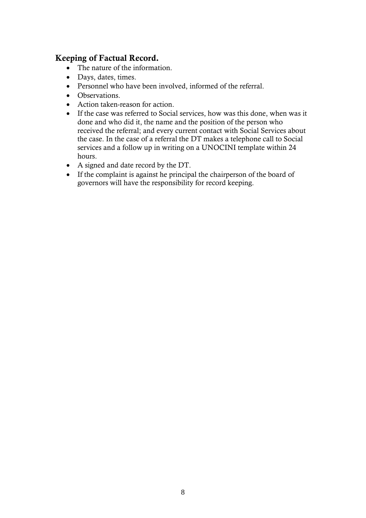## Keeping of Factual Record.

- The nature of the information.
- Days, dates, times.
- Personnel who have been involved, informed of the referral.
- Observations.
- Action taken-reason for action.
- If the case was referred to Social services, how was this done, when was it done and who did it, the name and the position of the person who received the referral; and every current contact with Social Services about the case. In the case of a referral the DT makes a telephone call to Social services and a follow up in writing on a UNOCINI template within 24 hours.
- A signed and date record by the DT.
- If the complaint is against he principal the chairperson of the board of governors will have the responsibility for record keeping.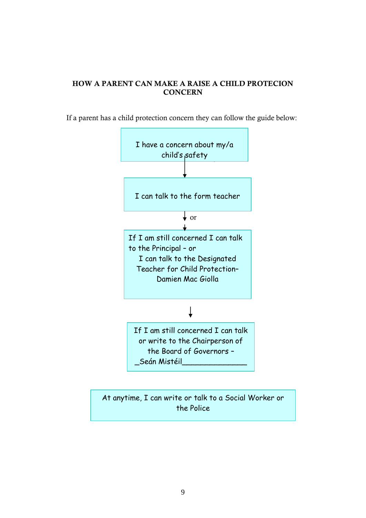## HOW A PARENT CAN MAKE A RAISE A CHILD PROTECION **CONCERN**

If a parent has a child protection concern they can follow the guide below:



At anytime, I can write or talk to a Social Worker or the Police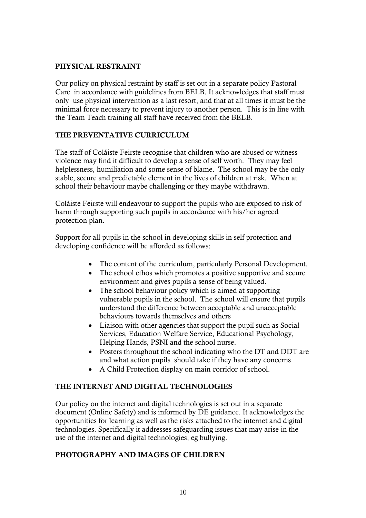#### PHYSICAL RESTRAINT

Our policy on physical restraint by staff is set out in a separate policy Pastoral Care in accordance with guidelines from BELB. It acknowledges that staff must only use physical intervention as a last resort, and that at all times it must be the minimal force necessary to prevent injury to another person. This is in line with the Team Teach training all staff have received from the BELB.

## THE PREVENTATIVE CURRICULUM

The staff of Coláiste Feirste recognise that children who are abused or witness violence may find it difficult to develop a sense of self worth. They may feel helplessness, humiliation and some sense of blame. The school may be the only stable, secure and predictable element in the lives of children at risk. When at school their behaviour maybe challenging or they maybe withdrawn.

Coláiste Feirste will endeavour to support the pupils who are exposed to risk of harm through supporting such pupils in accordance with his/her agreed protection plan.

Support for all pupils in the school in developing skills in self protection and developing confidence will be afforded as follows:

- The content of the curriculum, particularly Personal Development.
- The school ethos which promotes a positive supportive and secure environment and gives pupils a sense of being valued.
- The school behaviour policy which is aimed at supporting vulnerable pupils in the school. The school will ensure that pupils understand the difference between acceptable and unacceptable behaviours towards themselves and others
- Liaison with other agencies that support the pupil such as Social Services, Education Welfare Service, Educational Psychology, Helping Hands, PSNI and the school nurse.
- Posters throughout the school indicating who the DT and DDT are and what action pupils should take if they have any concerns
- A Child Protection display on main corridor of school.

#### THE INTERNET AND DIGITAL TECHNOLOGIES

Our policy on the internet and digital technologies is set out in a separate document (Online Safety) and is informed by DE guidance. It acknowledges the opportunities for learning as well as the risks attached to the internet and digital technologies. Specifically it addresses safeguarding issues that may arise in the use of the internet and digital technologies, eg bullying.

#### PHOTOGRAPHY AND IMAGES OF CHILDREN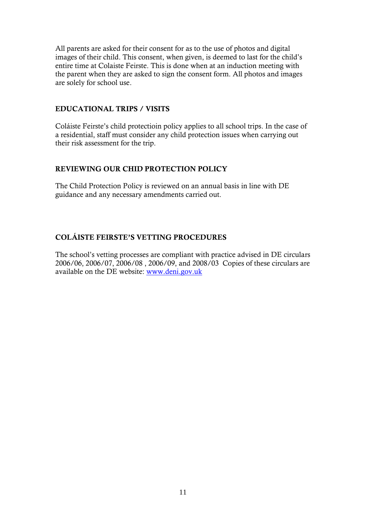All parents are asked for their consent for as to the use of photos and digital images of their child. This consent, when given, is deemed to last for the child's entire time at Colaiste Feirste. This is done when at an induction meeting with the parent when they are asked to sign the consent form. All photos and images are solely for school use.

#### EDUCATIONAL TRIPS / VISITS

Coláiste Feirste's child protectioin policy applies to all school trips. In the case of a residential, staff must consider any child protection issues when carrying out their risk assessment for the trip.

#### REVIEWING OUR CHID PROTECTION POLICY

The Child Protection Policy is reviewed on an annual basis in line with DE guidance and any necessary amendments carried out.

## COLÁISTE FEIRSTE'S VETTING PROCEDURES

The school's vetting processes are compliant with practice advised in DE circulars 2006/06, 2006/07, 2006/08 , 2006/09, and 2008/03 Copies of these circulars are available on the DE website: [www.deni.gov.uk](http://www.deni.gov.uk/)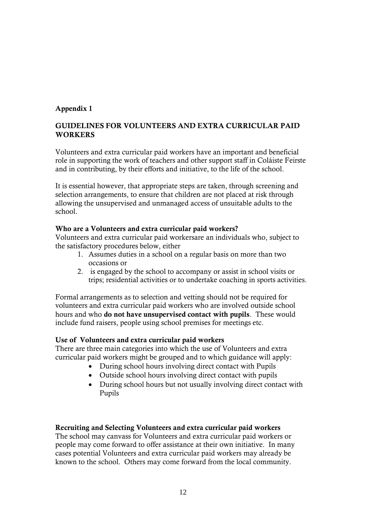#### Appendix 1

#### GUIDELINES FOR VOLUNTEERS AND EXTRA CURRICULAR PAID **WORKERS**

Volunteers and extra curricular paid workers have an important and beneficial role in supporting the work of teachers and other support staff in Coláiste Feirste and in contributing, by their efforts and initiative, to the life of the school.

It is essential however, that appropriate steps are taken, through screening and selection arrangements, to ensure that children are not placed at risk through allowing the unsupervised and unmanaged access of unsuitable adults to the school.

#### Who are a Volunteers and extra curricular paid workers?

Volunteers and extra curricular paid workersare an individuals who, subject to the satisfactory procedures below, either

- 1. Assumes duties in a school on a regular basis on more than two occasions or
- 2. is engaged by the school to accompany or assist in school visits or trips; residential activities or to undertake coaching in sports activities.

Formal arrangements as to selection and vetting should not be required for volunteers and extra curricular paid workers who are involved outside school hours and who do not have unsupervised contact with pupils. These would include fund raisers, people using school premises for meetings etc.

#### Use of Volunteers and extra curricular paid workers

There are three main categories into which the use of Volunteers and extra curricular paid workers might be grouped and to which guidance will apply:

- During school hours involving direct contact with Pupils
- Outside school hours involving direct contact with pupils
- During school hours but not usually involving direct contact with Pupils

#### Recruiting and Selecting Volunteers and extra curricular paid workers

The school may canvass for Volunteers and extra curricular paid workers or people may come forward to offer assistance at their own initiative. In many cases potential Volunteers and extra curricular paid workers may already be known to the school. Others may come forward from the local community.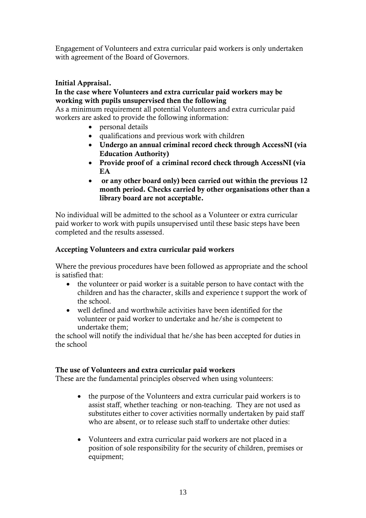Engagement of Volunteers and extra curricular paid workers is only undertaken with agreement of the Board of Governors.

#### Initial Appraisal.

#### In the case where Volunteers and extra curricular paid workers may be working with pupils unsupervised then the following

As a minimum requirement all potential Volunteers and extra curricular paid workers are asked to provide the following information:

- personal details
- qualifications and previous work with children
- Undergo an annual criminal record check through AccessNI (via Education Authority)
- Provide proof of a criminal record check through AccessNI (via **EA**
- or any other board only) been carried out within the previous 12 month period. Checks carried by other organisations other than a library board are not acceptable.

No individual will be admitted to the school as a Volunteer or extra curricular paid worker to work with pupils unsupervised until these basic steps have been completed and the results assessed.

#### Accepting Volunteers and extra curricular paid workers

Where the previous procedures have been followed as appropriate and the school is satisfied that:

- the volunteer or paid worker is a suitable person to have contact with the children and has the character, skills and experience t support the work of the school.
- well defined and worthwhile activities have been identified for the volunteer or paid worker to undertake and he/she is competent to undertake them;

the school will notify the individual that he/she has been accepted for duties in the school

#### The use of Volunteers and extra curricular paid workers

These are the fundamental principles observed when using volunteers:

- the purpose of the Volunteers and extra curricular paid workers is to assist staff, whether teaching or non-teaching. They are not used as substitutes either to cover activities normally undertaken by paid staff who are absent, or to release such staff to undertake other duties:
- Volunteers and extra curricular paid workers are not placed in a position of sole responsibility for the security of children, premises or equipment;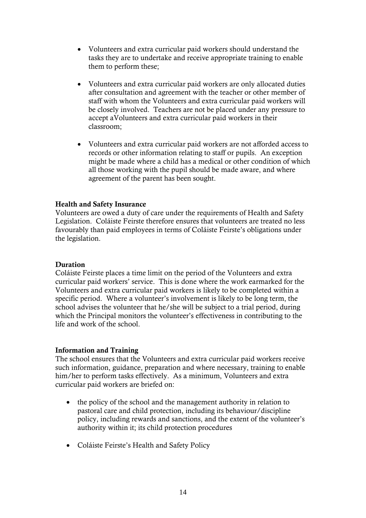- Volunteers and extra curricular paid workers should understand the tasks they are to undertake and receive appropriate training to enable them to perform these;
- Volunteers and extra curricular paid workers are only allocated duties after consultation and agreement with the teacher or other member of staff with whom the Volunteers and extra curricular paid workers will be closely involved. Teachers are not be placed under any pressure to accept aVolunteers and extra curricular paid workers in their classroom;
- Volunteers and extra curricular paid workers are not afforded access to records or other information relating to staff or pupils. An exception might be made where a child has a medical or other condition of which all those working with the pupil should be made aware, and where agreement of the parent has been sought.

#### Health and Safety Insurance

Volunteers are owed a duty of care under the requirements of Health and Safety Legislation. Coláiste Feirste therefore ensures that volunteers are treated no less favourably than paid employees in terms of Coláiste Feirste's obligations under the legislation.

#### Duration

Coláiste Feirste places a time limit on the period of the Volunteers and extra curricular paid workers' service. This is done where the work earmarked for the Volunteers and extra curricular paid workers is likely to be completed within a specific period. Where a volunteer's involvement is likely to be long term, the school advises the volunteer that he/she will be subject to a trial period, during which the Principal monitors the volunteer's effectiveness in contributing to the life and work of the school.

#### Information and Training

The school ensures that the Volunteers and extra curricular paid workers receive such information, guidance, preparation and where necessary, training to enable him/her to perform tasks effectively. As a minimum, Volunteers and extra curricular paid workers are briefed on:

- the policy of the school and the management authority in relation to pastoral care and child protection, including its behaviour/discipline policy, including rewards and sanctions, and the extent of the volunteer's authority within it; its child protection procedures
- Coláiste Feirste's Health and Safety Policy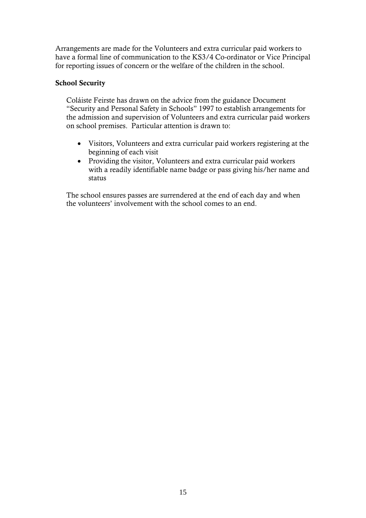Arrangements are made for the Volunteers and extra curricular paid workers to have a formal line of communication to the KS3/4 Co-ordinator or Vice Principal for reporting issues of concern or the welfare of the children in the school.

#### School Security

Coláiste Feirste has drawn on the advice from the guidance Document "Security and Personal Safety in Schools" 1997 to establish arrangements for the admission and supervision of Volunteers and extra curricular paid workers on school premises. Particular attention is drawn to:

- Visitors, Volunteers and extra curricular paid workers registering at the beginning of each visit
- Providing the visitor, Volunteers and extra curricular paid workers with a readily identifiable name badge or pass giving his/her name and status

The school ensures passes are surrendered at the end of each day and when the volunteers' involvement with the school comes to an end.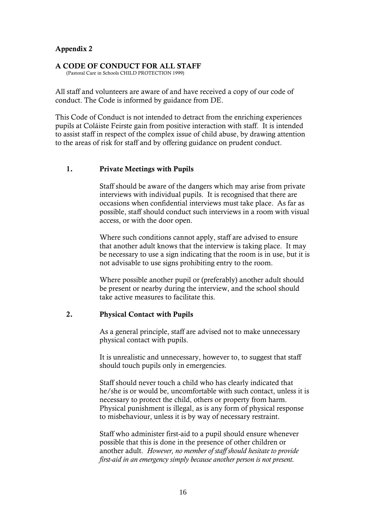#### Appendix 2

#### A CODE OF CONDUCT FOR ALL STAFF

(Pastoral Care in Schools CHILD PROTECTION 1999)

All staff and volunteers are aware of and have received a copy of our code of conduct. The Code is informed by guidance from DE.

This Code of Conduct is not intended to detract from the enriching experiences pupils at Coláiste Feirste gain from positive interaction with staff. It is intended to assist staff in respect of the complex issue of child abuse, by drawing attention to the areas of risk for staff and by offering guidance on prudent conduct.

#### 1. Private Meetings with Pupils

Staff should be aware of the dangers which may arise from private interviews with individual pupils. It is recognised that there are occasions when confidential interviews must take place. As far as possible, staff should conduct such interviews in a room with visual access, or with the door open.

Where such conditions cannot apply, staff are advised to ensure that another adult knows that the interview is taking place. It may be necessary to use a sign indicating that the room is in use, but it is not advisable to use signs prohibiting entry to the room.

Where possible another pupil or (preferably) another adult should be present or nearby during the interview, and the school should take active measures to facilitate this.

#### 2. Physical Contact with Pupils

As a general principle, staff are advised not to make unnecessary physical contact with pupils.

It is unrealistic and unnecessary, however to, to suggest that staff should touch pupils only in emergencies.

Staff should never touch a child who has clearly indicated that he/she is or would be, uncomfortable with such contact, unless it is necessary to protect the child, others or property from harm. Physical punishment is illegal, as is any form of physical response to misbehaviour, unless it is by way of necessary restraint.

Staff who administer first-aid to a pupil should ensure whenever possible that this is done in the presence of other children or another adult. *However, no member of staff should hesitate to provide first-aid in an emergency simply because another person is not present.*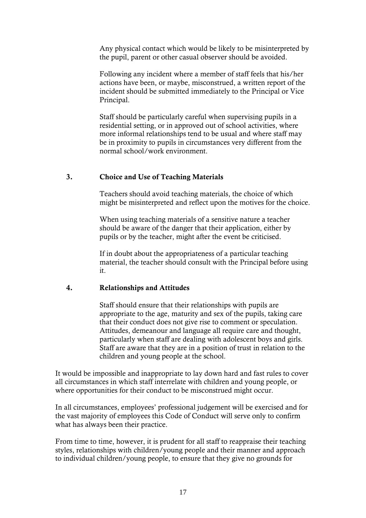Any physical contact which would be likely to be misinterpreted by the pupil, parent or other casual observer should be avoided.

Following any incident where a member of staff feels that his/her actions have been, or maybe, misconstrued, a written report of the incident should be submitted immediately to the Principal or Vice Principal.

Staff should be particularly careful when supervising pupils in a residential setting, or in approved out of school activities, where more informal relationships tend to be usual and where staff may be in proximity to pupils in circumstances very different from the normal school/work environment.

#### 3. Choice and Use of Teaching Materials

Teachers should avoid teaching materials, the choice of which might be misinterpreted and reflect upon the motives for the choice.

When using teaching materials of a sensitive nature a teacher should be aware of the danger that their application, either by pupils or by the teacher, might after the event be criticised.

If in doubt about the appropriateness of a particular teaching material, the teacher should consult with the Principal before using it.

#### 4. Relationships and Attitudes

Staff should ensure that their relationships with pupils are appropriate to the age, maturity and sex of the pupils, taking care that their conduct does not give rise to comment or speculation. Attitudes, demeanour and language all require care and thought, particularly when staff are dealing with adolescent boys and girls. Staff are aware that they are in a position of trust in relation to the children and young people at the school.

It would be impossible and inappropriate to lay down hard and fast rules to cover all circumstances in which staff interrelate with children and young people, or where opportunities for their conduct to be misconstrued might occur.

In all circumstances, employees' professional judgement will be exercised and for the vast majority of employees this Code of Conduct will serve only to confirm what has always been their practice.

From time to time, however, it is prudent for all staff to reappraise their teaching styles, relationships with children/young people and their manner and approach to individual children/young people, to ensure that they give no grounds for